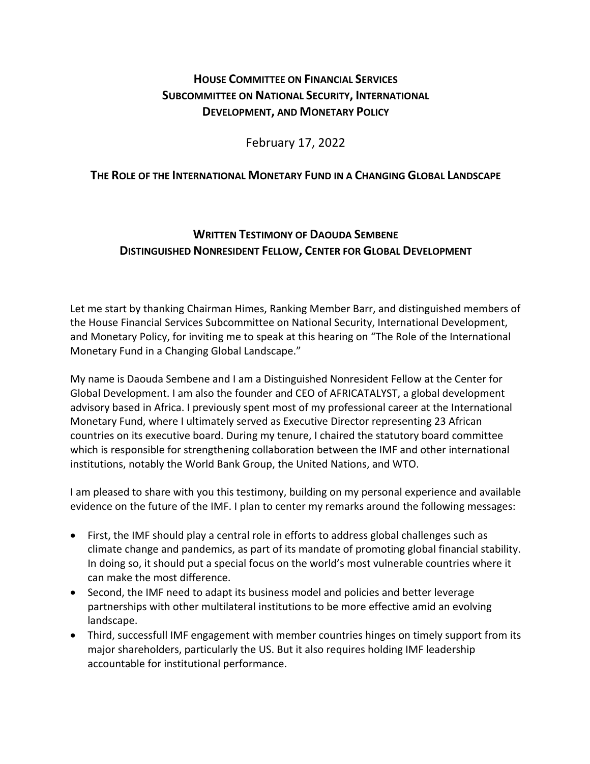# **HOUSE COMMITTEE ON FINANCIAL SERVICES SUBCOMMITTEE ON NATIONAL SECURITY, INTERNATIONAL DEVELOPMENT, AND MONETARY POLICY**

February 17, 2022

## **THE ROLE OF THE INTERNATIONAL MONETARY FUND IN A CHANGING GLOBAL LANDSCAPE**

# **WRITTEN TESTIMONY OF DAOUDA SEMBENE DISTINGUISHED NONRESIDENT FELLOW, CENTER FOR GLOBAL DEVELOPMENT**

Let me start by thanking Chairman Himes, Ranking Member Barr, and distinguished members of the House Financial Services Subcommittee on National Security, International Development, and Monetary Policy, for inviting me to speak at this hearing on "The Role of the International Monetary Fund in a Changing Global Landscape."

My name is Daouda Sembene and I am a Distinguished Nonresident Fellow at the Center for Global Development. I am also the founder and CEO of AFRICATALYST, a global development advisory based in Africa. I previously spent most of my professional career at the International Monetary Fund, where I ultimately served as Executive Director representing 23 African countries on its executive board. During my tenure, I chaired the statutory board committee which is responsible for strengthening collaboration between the IMF and other international institutions, notably the World Bank Group, the United Nations, and WTO.

I am pleased to share with you this testimony, building on my personal experience and available evidence on the future of the IMF. I plan to center my remarks around the following messages:

- First, the IMF should play a central role in efforts to address global challenges such as climate change and pandemics, as part of its mandate of promoting global financial stability. In doing so, it should put a special focus on the world's most vulnerable countries where it can make the most difference.
- Second, the IMF need to adapt its business model and policies and better leverage partnerships with other multilateral institutions to be more effective amid an evolving landscape.
- Third, successfull IMF engagement with member countries hinges on timely support from its major shareholders, particularly the US. But it also requires holding IMF leadership accountable for institutional performance.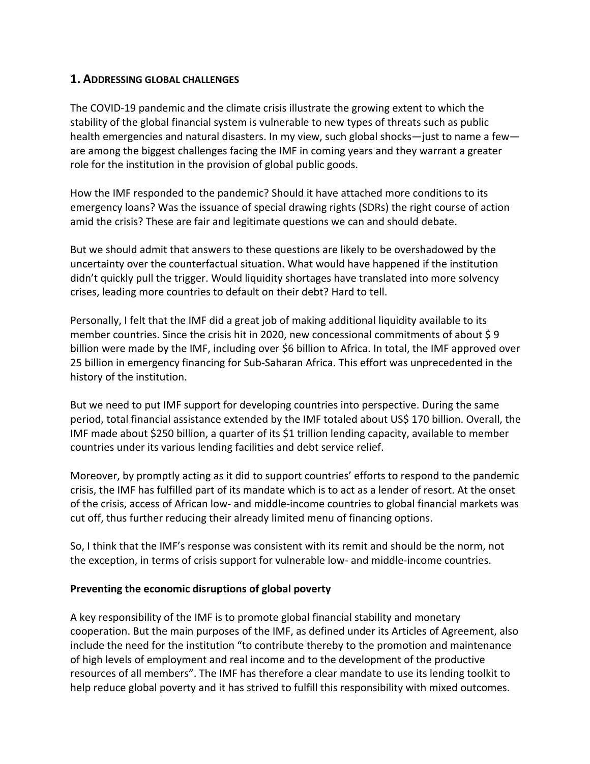## **1. ADDRESSING GLOBAL CHALLENGES**

The COVID-19 pandemic and the climate crisis illustrate the growing extent to which the stability of the global financial system is vulnerable to new types of threats such as public health emergencies and natural disasters. In my view, such global shocks—just to name a few are among the biggest challenges facing the IMF in coming years and they warrant a greater role for the institution in the provision of global public goods.

How the IMF responded to the pandemic? Should it have attached more conditions to its emergency loans? Was the issuance of special drawing rights (SDRs) the right course of action amid the crisis? These are fair and legitimate questions we can and should debate.

But we should admit that answers to these questions are likely to be overshadowed by the uncertainty over the counterfactual situation. What would have happened if the institution didn't quickly pull the trigger. Would liquidity shortages have translated into more solvency crises, leading more countries to default on their debt? Hard to tell.

Personally, I felt that the IMF did a great job of making additional liquidity available to its member countries. Since the crisis hit in 2020, new concessional commitments of about \$ 9 billion were made by the IMF, including over \$6 billion to Africa. In total, the IMF approved over 25 billion in emergency financing for Sub-Saharan Africa. This effort was unprecedented in the history of the institution.

But we need to put IMF support for developing countries into perspective. During the same period, total financial assistance extended by the IMF totaled about US\$ 170 billion. Overall, the IMF made about \$250 billion, a quarter of its \$1 trillion lending capacity, available to member countries under its various lending facilities and debt service relief.

Moreover, by promptly acting as it did to support countries' efforts to respond to the pandemic crisis, the IMF has fulfilled part of its mandate which is to act as a lender of resort. At the onset of the crisis, access of African low- and middle-income countries to global financial markets was cut off, thus further reducing their already limited menu of financing options.

So, I think that the IMF's response was consistent with its remit and should be the norm, not the exception, in terms of crisis support for vulnerable low- and middle-income countries.

## **Preventing the economic disruptions of global poverty**

A key responsibility of the IMF is to promote global financial stability and monetary cooperation. But the main purposes of the IMF, as defined under its Articles of Agreement, also include the need for the institution "to contribute thereby to the promotion and maintenance of high levels of employment and real income and to the development of the productive resources of all members". The IMF has therefore a clear mandate to use its lending toolkit to help reduce global poverty and it has strived to fulfill this responsibility with mixed outcomes.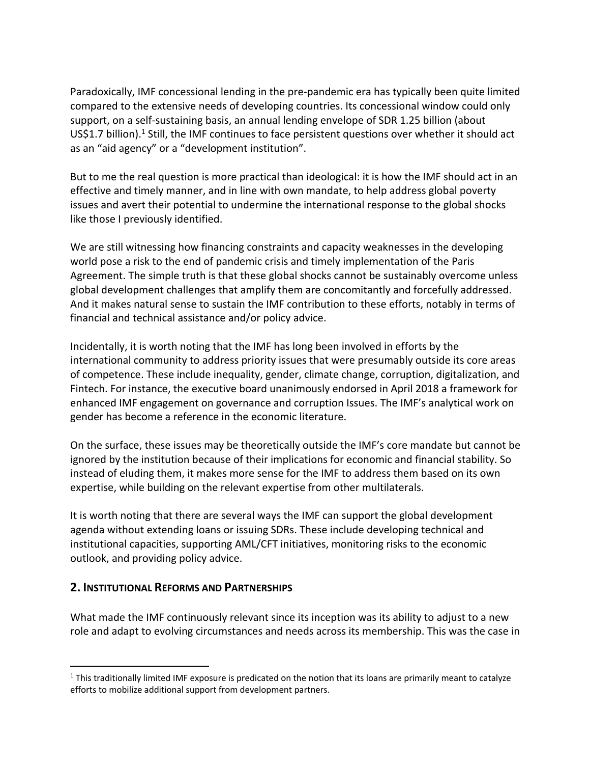Paradoxically, IMF concessional lending in the pre-pandemic era has typically been quite limited compared to the extensive needs of developing countries. Its concessional window could only support, on a self-sustaining basis, an annual lending envelope of SDR 1.25 billion (about US\$1.7 billion).<sup>1</sup> Still, the IMF continues to face persistent questions over whether it should act as an "aid agency" or a "development institution".

But to me the real question is more practical than ideological: it is how the IMF should act in an effective and timely manner, and in line with own mandate, to help address global poverty issues and avert their potential to undermine the international response to the global shocks like those I previously identified.

We are still witnessing how financing constraints and capacity weaknesses in the developing world pose a risk to the end of pandemic crisis and timely implementation of the Paris Agreement. The simple truth is that these global shocks cannot be sustainably overcome unless global development challenges that amplify them are concomitantly and forcefully addressed. And it makes natural sense to sustain the IMF contribution to these efforts, notably in terms of financial and technical assistance and/or policy advice.

Incidentally, it is worth noting that the IMF has long been involved in efforts by the international community to address priority issues that were presumably outside its core areas of competence. These include inequality, gender, climate change, corruption, digitalization, and Fintech. For instance, the executive board unanimously endorsed in April 2018 a framework for enhanced IMF engagement on governance and corruption Issues. The IMF's analytical work on gender has become a reference in the economic literature.

On the surface, these issues may be theoretically outside the IMF's core mandate but cannot be ignored by the institution because of their implications for economic and financial stability. So instead of eluding them, it makes more sense for the IMF to address them based on its own expertise, while building on the relevant expertise from other multilaterals.

It is worth noting that there are several ways the IMF can support the global development agenda without extending loans or issuing SDRs. These include developing technical and institutional capacities, supporting AML/CFT initiatives, monitoring risks to the economic outlook, and providing policy advice.

## **2. INSTITUTIONAL REFORMS AND PARTNERSHIPS**

What made the IMF continuously relevant since its inception was its ability to adjust to a new role and adapt to evolving circumstances and needs across its membership. This was the case in

 $1$  This traditionally limited IMF exposure is predicated on the notion that its loans are primarily meant to catalyze efforts to mobilize additional support from development partners.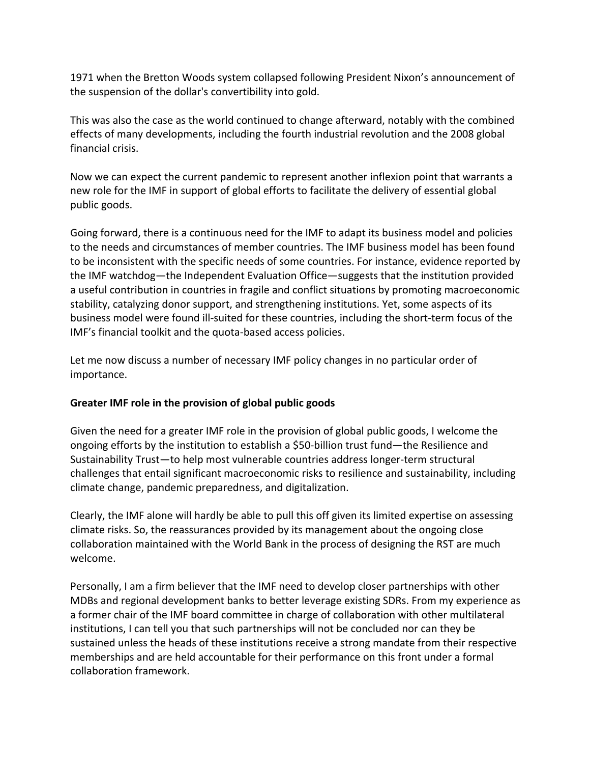1971 when the Bretton Woods system collapsed following President Nixon's announcement of the suspension of the dollar's convertibility into gold.

This was also the case as the world continued to change afterward, notably with the combined effects of many developments, including the fourth industrial revolution and the 2008 global financial crisis.

Now we can expect the current pandemic to represent another inflexion point that warrants a new role for the IMF in support of global efforts to facilitate the delivery of essential global public goods.

Going forward, there is a continuous need for the IMF to adapt its business model and policies to the needs and circumstances of member countries. The IMF business model has been found to be inconsistent with the specific needs of some countries. For instance, evidence reported by the IMF watchdog—the Independent Evaluation Office—suggests that the institution provided a useful contribution in countries in fragile and conflict situations by promoting macroeconomic stability, catalyzing donor support, and strengthening institutions. Yet, some aspects of its business model were found ill-suited for these countries, including the short-term focus of the IMF's financial toolkit and the quota-based access policies.

Let me now discuss a number of necessary IMF policy changes in no particular order of importance.

## **Greater IMF role in the provision of global public goods**

Given the need for a greater IMF role in the provision of global public goods, I welcome the ongoing efforts by the institution to establish a \$50-billion trust fund—the Resilience and Sustainability Trust—to help most vulnerable countries address longer-term structural challenges that entail significant macroeconomic risks to resilience and sustainability, including climate change, pandemic preparedness, and digitalization.

Clearly, the IMF alone will hardly be able to pull this off given its limited expertise on assessing climate risks. So, the reassurances provided by its management about the ongoing close collaboration maintained with the World Bank in the process of designing the RST are much welcome.

Personally, I am a firm believer that the IMF need to develop closer partnerships with other MDBs and regional development banks to better leverage existing SDRs. From my experience as a former chair of the IMF board committee in charge of collaboration with other multilateral institutions, I can tell you that such partnerships will not be concluded nor can they be sustained unless the heads of these institutions receive a strong mandate from their respective memberships and are held accountable for their performance on this front under a formal collaboration framework.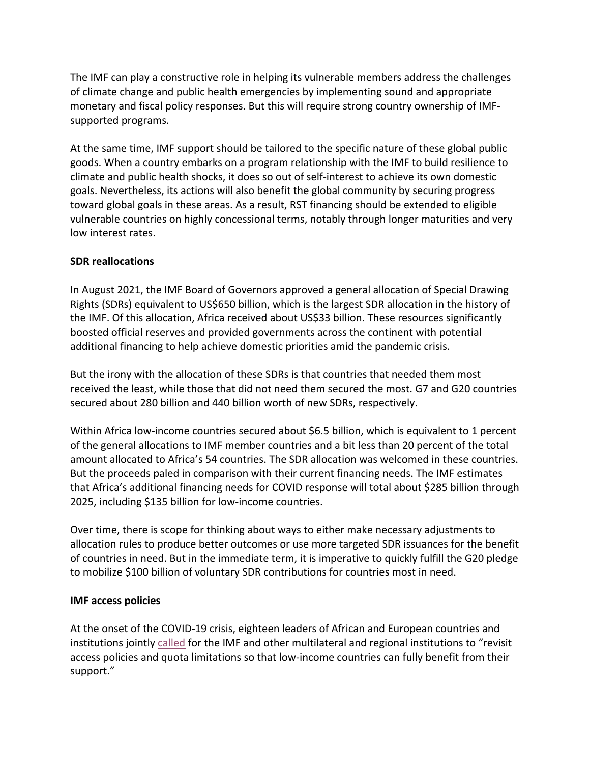The IMF can play a constructive role in helping its vulnerable members address the challenges of climate change and public health emergencies by implementing sound and appropriate monetary and fiscal policy responses. But this will require strong country ownership of IMFsupported programs.

At the same time, IMF support should be tailored to the specific nature of these global public goods. When a country embarks on a program relationship with the IMF to build resilience to climate and public health shocks, it does so out of self-interest to achieve its own domestic goals. Nevertheless, its actions will also benefit the global community by securing progress toward global goals in these areas. As a result, RST financing should be extended to eligible vulnerable countries on highly concessional terms, notably through longer maturities and very low interest rates.

#### **SDR reallocations**

In August 2021, the IMF Board of Governors approved a general allocation of Special Drawing Rights (SDRs) equivalent to US\$650 billion, which is the largest SDR allocation in the history of the IMF. Of this allocation, Africa received about US\$33 billion. These resources significantly boosted official reserves and provided governments across the continent with potential additional financing to help achieve domestic priorities amid the pandemic crisis.

But the irony with the allocation of these SDRs is that countries that needed them most received the least, while those that did not need them secured the most. G7 and G20 countries secured about 280 billion and 440 billion worth of new SDRs, respectively.

Within Africa low-income countries secured about \$6.5 billion, which is equivalent to 1 percent of the general allocations to IMF member countries and a bit less than 20 percent of the total amount allocated to Africa's 54 countries. The SDR allocation was welcomed in these countries. But the proceeds paled in comparison with their current financing needs. The IMF estimates that Africa's additional financing needs for COVID response will total about \$285 billion through 2025, including \$135 billion for low-income countries.

Over time, there is scope for thinking about ways to either make necessary adjustments to allocation rules to produce better outcomes or use more targeted SDR issuances for the benefit of countries in need. But in the immediate term, it is imperative to quickly fulfill the G20 pledge to mobilize \$100 billion of voluntary SDR contributions for countries most in need.

## **IMF access policies**

At the onset of the COVID-19 crisis, eighteen leaders of African and European countries and institutions jointly called for the IMF and other multilateral and regional institutions to "revisit access policies and quota limitations so that low-income countries can fully benefit from their support."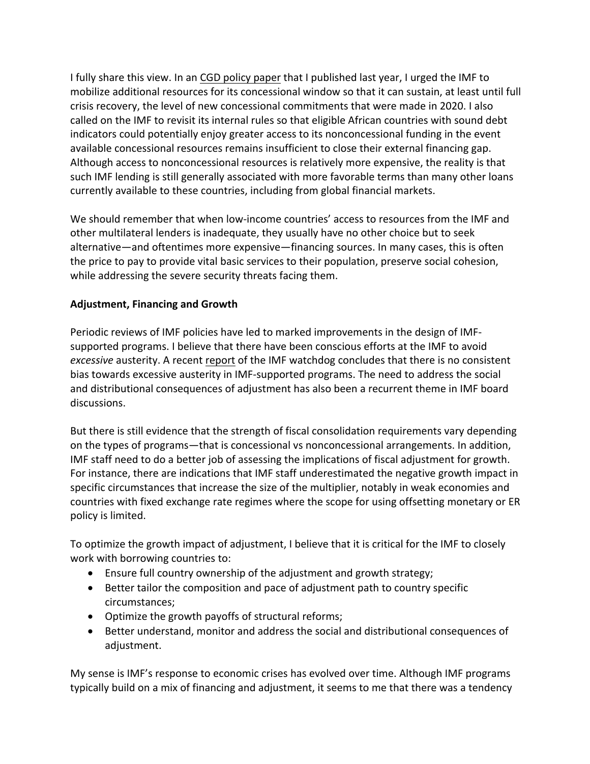I fully share this view. In an CGD policy paper that I published last year, I urged the IMF to mobilize additional resources for its concessional window so that it can sustain, at least until full crisis recovery, the level of new concessional commitments that were made in 2020. I also called on the IMF to revisit its internal rules so that eligible African countries with sound debt indicators could potentially enjoy greater access to its nonconcessional funding in the event available concessional resources remains insufficient to close their external financing gap. Although access to nonconcessional resources is relatively more expensive, the reality is that such IMF lending is still generally associated with more favorable terms than many other loans currently available to these countries, including from global financial markets.

We should remember that when low-income countries' access to resources from the IMF and other multilateral lenders is inadequate, they usually have no other choice but to seek alternative—and oftentimes more expensive—financing sources. In many cases, this is often the price to pay to provide vital basic services to their population, preserve social cohesion, while addressing the severe security threats facing them.

## **Adjustment, Financing and Growth**

Periodic reviews of IMF policies have led to marked improvements in the design of IMFsupported programs. I believe that there have been conscious efforts at the IMF to avoid *excessive* austerity. A recent report of the IMF watchdog concludes that there is no consistent bias towards excessive austerity in IMF-supported programs. The need to address the social and distributional consequences of adjustment has also been a recurrent theme in IMF board discussions.

But there is still evidence that the strength of fiscal consolidation requirements vary depending on the types of programs—that is concessional vs nonconcessional arrangements. In addition, IMF staff need to do a better job of assessing the implications of fiscal adjustment for growth. For instance, there are indications that IMF staff underestimated the negative growth impact in specific circumstances that increase the size of the multiplier, notably in weak economies and countries with fixed exchange rate regimes where the scope for using offsetting monetary or ER policy is limited.

To optimize the growth impact of adjustment, I believe that it is critical for the IMF to closely work with borrowing countries to:

- Ensure full country ownership of the adjustment and growth strategy;
- Better tailor the composition and pace of adjustment path to country specific circumstances;
- Optimize the growth payoffs of structural reforms;
- Better understand, monitor and address the social and distributional consequences of adjustment.

My sense is IMF's response to economic crises has evolved over time. Although IMF programs typically build on a mix of financing and adjustment, it seems to me that there was a tendency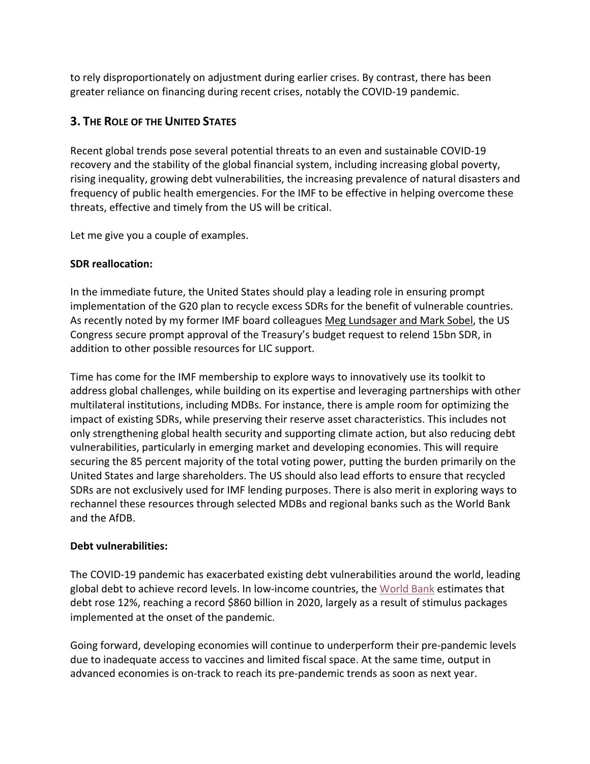to rely disproportionately on adjustment during earlier crises. By contrast, there has been greater reliance on financing during recent crises, notably the COVID-19 pandemic.

## **3. THE ROLE OF THE UNITED STATES**

Recent global trends pose several potential threats to an even and sustainable COVID-19 recovery and the stability of the global financial system, including increasing global poverty, rising inequality, growing debt vulnerabilities, the increasing prevalence of natural disasters and frequency of public health emergencies. For the IMF to be effective in helping overcome these threats, effective and timely from the US will be critical.

Let me give you a couple of examples.

## **SDR reallocation:**

In the immediate future, the United States should play a leading role in ensuring prompt implementation of the G20 plan to recycle excess SDRs for the benefit of vulnerable countries. As recently noted by my former IMF board colleagues Meg Lundsager and Mark Sobel, the US Congress secure prompt approval of the Treasury's budget request to relend 15bn SDR, in addition to other possible resources for LIC support.

Time has come for the IMF membership to explore ways to innovatively use its toolkit to address global challenges, while building on its expertise and leveraging partnerships with other multilateral institutions, including MDBs. For instance, there is ample room for optimizing the impact of existing SDRs, while preserving their reserve asset characteristics. This includes not only strengthening global health security and supporting climate action, but also reducing debt vulnerabilities, particularly in emerging market and developing economies. This will require securing the 85 percent majority of the total voting power, putting the burden primarily on the United States and large shareholders. The US should also lead efforts to ensure that recycled SDRs are not exclusively used for IMF lending purposes. There is also merit in exploring ways to rechannel these resources through selected MDBs and regional banks such as the World Bank and the AfDB.

## **Debt vulnerabilities:**

The COVID-19 pandemic has exacerbated existing debt vulnerabilities around the world, leading global debt to achieve record levels. In low-income countries, the World Bank estimates that debt rose 12%, reaching a record \$860 billion in 2020, largely as a result of stimulus packages implemented at the onset of the pandemic.

Going forward, developing economies will continue to underperform their pre-pandemic levels due to inadequate access to vaccines and limited fiscal space. At the same time, output in advanced economies is on-track to reach its pre-pandemic trends as soon as next year.